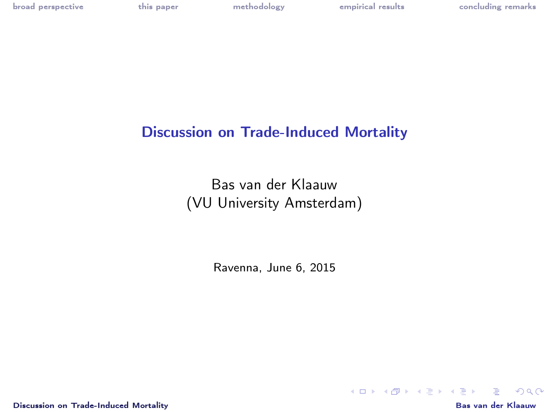[broad perspective](#page-1-0) [this paper](#page-2-0) [methodology](#page-3-0) [empirical results](#page-5-0) [concluding remarks](#page-6-0)

# Discussion on Trade-Induced Mortality

Bas van der Klaauw (VU University Amsterdam)

Ravenna, June 6, 2015

[Discussion on Trade-Induced Mortality](#page-6-0) Bas van der Klaauw

<span id="page-0-0"></span>

K ロ ▶ K @ ▶ K 할 ▶ K 할 ▶ → 할 → 9 Q @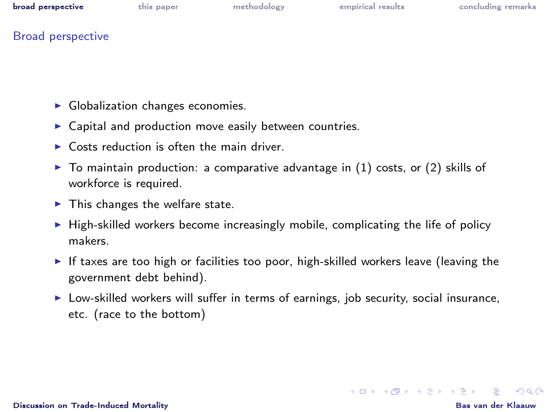|  | broad perspective | this paper | methodology | empirical results | concluding remarks |
|--|-------------------|------------|-------------|-------------------|--------------------|
|--|-------------------|------------|-------------|-------------------|--------------------|

## Broad perspective

- $\blacktriangleright$  Globalization changes economies.
- $\triangleright$  Capital and production move easily between countries.
- $\triangleright$  Costs reduction is often the main driver.
- $\triangleright$  To maintain production: a comparative advantage in (1) costs, or (2) skills of workforce is required.
- $\blacktriangleright$  This changes the welfare state.
- $\blacktriangleright$  High-skilled workers become increasingly mobile, complicating the life of policy makers.
- If taxes are too high or facilities too poor, high-skilled workers leave (leaving the government debt behind).
- $\triangleright$  Low-skilled workers will suffer in terms of earnings, job security, social insurance, etc. (race to the bottom)

[Discussion on Trade-Induced Mortality](#page-0-0) Bas van der Klaauw

<span id="page-1-0"></span>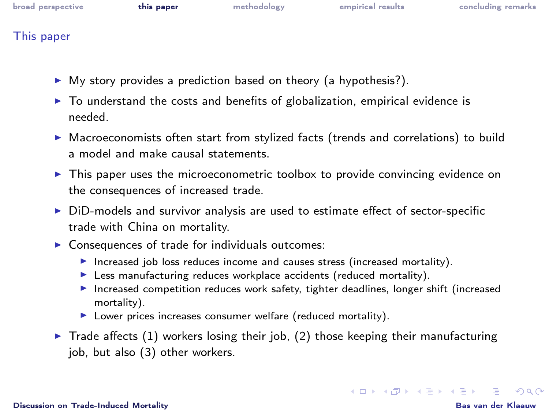| broad perspective |  |
|-------------------|--|
|-------------------|--|

## This paper

- $\triangleright$  My story provides a prediction based on theory (a hypothesis?).
- $\triangleright$  To understand the costs and benefits of globalization, empirical evidence is needed.
- $\triangleright$  Macroeconomists often start from stylized facts (trends and correlations) to build a model and make causal statements.
- $\triangleright$  This paper uses the microeconometric toolbox to provide convincing evidence on the consequences of increased trade.
- $\triangleright$  DiD-models and survivor analysis are used to estimate effect of sector-specific trade with China on mortality.
- $\triangleright$  Consequences of trade for individuals outcomes:
	- Increased job loss reduces income and causes stress (increased mortality).
	- $\blacktriangleright$  Less manufacturing reduces workplace accidents (reduced mortality).
	- $\blacktriangleright$  Increased competition reduces work safety, tighter deadlines, longer shift (increased mortality).
	- $\blacktriangleright$  Lower prices increases consumer welfare (reduced mortality).
- <span id="page-2-0"></span> $\triangleright$  Trade affects (1) workers losing their job, (2) those keeping their manufacturing job, but also (3) other workers.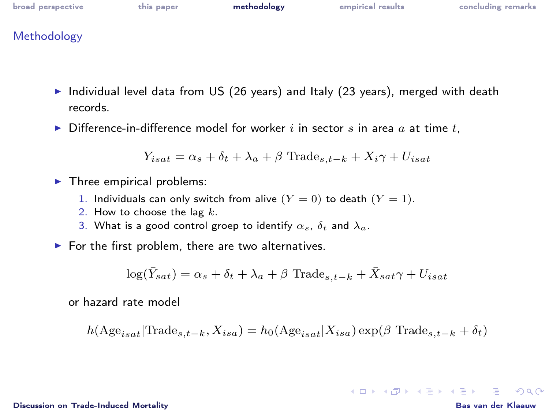| broad perspective | this paper | methodology | empirical results | concluding remarks |
|-------------------|------------|-------------|-------------------|--------------------|
|                   |            |             |                   |                    |

## Methodology

- $\blacktriangleright$  Individual level data from US (26 years) and Italy (23 years), merged with death records.
- $\triangleright$  Difference-in-difference model for worker i in sector s in area a at time t,

$$
Y_{isat} = \alpha_s + \delta_t + \lambda_a + \beta \text{ Trade}_{s,t-k} + X_i\gamma + U_{isat}
$$

- $\blacktriangleright$  Three empirical problems:
	- 1. Individuals can only switch from alive  $(Y = 0)$  to death  $(Y = 1)$ .
	- 2. How to choose the lag  $k$ .
	- 3. What is a good control groep to identify  $\alpha_s$ ,  $\delta_t$  and  $\lambda_a$ .
- $\blacktriangleright$  For the first problem, there are two alternatives.

$$
\log(\bar{Y}_{sat}) = \alpha_s + \delta_t + \lambda_a + \beta \text{ Trade}_{s,t-k} + \bar{X}_{sat}\gamma + U_{isat}
$$

or hazard rate model

$$
h(\text{Age}_{isat}|\text{Trade}_{s,t-k}, X_{isa}) = h_0(\text{Age}_{isat}|X_{isa}) \exp(\beta \text{ Trade}_{s,t-k} + \delta_t)
$$

### [Discussion on Trade-Induced Mortality](#page-0-0) Bas van der Klaauw

<span id="page-3-0"></span>**KORK EXTERNS ON A BY**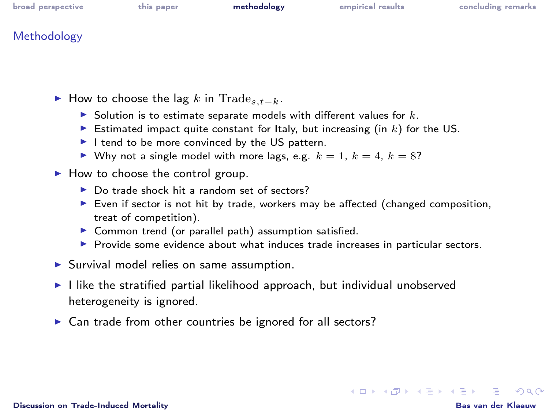| broad perspective | this paper | methodology | empirical results | concluding remarks |
|-------------------|------------|-------------|-------------------|--------------------|
|                   |            |             |                   |                    |
| .                 |            |             |                   |                    |

## **Methodology**

- ► How to choose the lag k in Trade<sub>s  $t-k$ </sub>.
	- $\blacktriangleright$  Solution is to estimate separate models with different values for k.
	- Estimated impact quite constant for Italy, but increasing (in  $k$ ) for the US.
	- $\blacktriangleright$  I tend to be more convinced by the US pattern.
	- I Why not a single model with more lags, e.g.  $k = 1$ ,  $k = 4$ ,  $k = 8$ ?
- $\blacktriangleright$  How to choose the control group.
	- $\triangleright$  Do trade shock hit a random set of sectors?
	- $\triangleright$  Even if sector is not hit by trade, workers may be affected (changed composition, treat of competition).
	- $\triangleright$  Common trend (or parallel path) assumption satisfied.
	- **Provide some evidence about what induces trade increases in particular sectors.**
- $\blacktriangleright$  Survival model relies on same assumption.
- $\blacktriangleright$  I like the stratified partial likelihood approach, but individual unobserved heterogeneity is ignored.
- $\triangleright$  Can trade from other countries be ignored for all sectors?

**KORK EXTERNS ON A BY**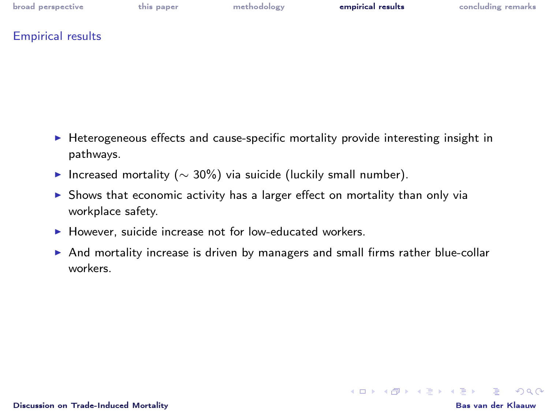[broad perspective](#page-1-0) [this paper](#page-2-0) [methodology](#page-3-0) [empirical results](#page-5-0) [concluding remarks](#page-6-0)

Empirical results

- $\blacktriangleright$  Heterogeneous effects and cause-specific mortality provide interesting insight in pathways.
- $\triangleright$  Increased mortality ( $\sim$  30%) via suicide (luckily small number).
- $\triangleright$  Shows that economic activity has a larger effect on mortality than only via workplace safety.
- $\blacktriangleright$  However, suicide increase not for low-educated workers.
- <span id="page-5-0"></span> $\triangleright$  And mortality increase is driven by managers and small firms rather blue-collar workers.